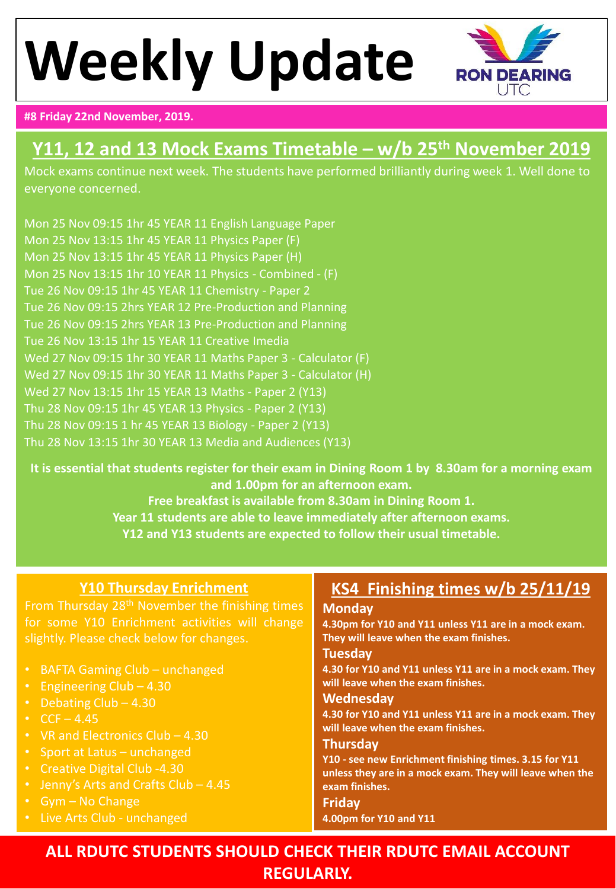# **Weekly Update**



#### **#8 Friday 22nd November, 2019.**

## **Y11, 12 and 13 Mock Exams Timetable – w/b 25th November 2019**

Mock exams continue next week. The students have performed brilliantly during week 1. Well done to everyone concerned.

Mon 25 Nov 09:15 1hr 45 YEAR 11 English Language Paper Mon 25 Nov 13:15 1hr 45 YEAR 11 Physics Paper (F) Mon 25 Nov 13:15 1hr 45 YEAR 11 Physics Paper (H) Mon 25 Nov 13:15 1hr 10 YEAR 11 Physics - Combined - (F) Tue 26 Nov 09:15 1hr 45 YEAR 11 Chemistry - Paper 2 Tue 26 Nov 09:15 2hrs YEAR 12 Pre-Production and Planning Tue 26 Nov 09:15 2hrs YEAR 13 Pre-Production and Planning Tue 26 Nov 13:15 1hr 15 YEAR 11 Creative Imedia Wed 27 Nov 09:15 1hr 30 YEAR 11 Maths Paper 3 - Calculator (F) Wed 27 Nov 09:15 1hr 30 YEAR 11 Maths Paper 3 - Calculator (H) Wed 27 Nov 13:15 1hr 15 YEAR 13 Maths - Paper 2 (Y13) Thu 28 Nov 09:15 1hr 45 YEAR 13 Physics - Paper 2 (Y13) Thu 28 Nov 09:15 1 hr 45 YEAR 13 Biology - Paper 2 (Y13) Thu 28 Nov 13:15 1hr 30 YEAR 13 Media and Audiences (Y13)

**It is essential that students register for their exam in Dining Room 1 by 8.30am for a morning exam and 1.00pm for an afternoon exam. Free breakfast is available from 8.30am in Dining Room 1. Year 11 students are able to leave immediately after afternoon exams.**

**Y12 and Y13 students are expected to follow their usual timetable.**

#### **Y10 Thursday Enrichment**

From Thursday 28<sup>th</sup> November the finishing times for some Y10 Enrichment activities will change slightly. Please check below for changes.

- BAFTA Gaming Club unchanged
- Engineering Club 4.30
- Debating Club 4.30
- $CCF 4.45$
- VR and Electronics Club 4.30
- Sport at Latus unchanged
- Creative Digital Club -4.30
- Jenny's Arts and Crafts Club 4.45
- Gym No Change
- Live Arts Club unchanged

### **KS4 Finishing times w/b 25/11/19**

#### **Monday**

**4.30pm for Y10 and Y11 unless Y11 are in a mock exam. They will leave when the exam finishes.**

#### **Tuesday**

**4.30 for Y10 and Y11 unless Y11 are in a mock exam. They will leave when the exam finishes.**

#### **Wednesday**

**4.30 for Y10 and Y11 unless Y11 are in a mock exam. They will leave when the exam finishes.**

#### **Thursday**

**Y10 - see new Enrichment finishing times. 3.15 for Y11 unless they are in a mock exam. They will leave when the exam finishes.**

#### **Friday 4.00pm for Y10 and Y11**

**ALL RDUTC STUDENTS SHOULD CHECK THEIR RDUTC EMAIL ACCOUNT REGULARLY.**